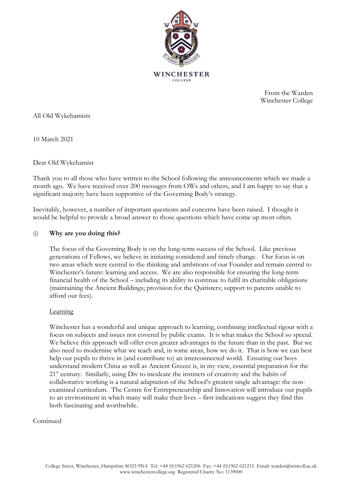

From the Warden Winchester College

All Old Wykehamists

10 March 2021

Dear Old Wykehamist

Thank you to all those who have written to the School following the announcements which we made a month ago. We have received over 200 messages from OWs and others, and I am happy to say that a significant majority have been supportive of the Governing Body's strategy.

Inevitably, however, a number of important questions and concerns have been raised. I thought it would be helpful to provide a broad answer to those questions which have come up most often.

## (i) **Why are you doing this?**

The focus of the Governing Body is on the long-term success of the School. Like previous generations of Fellows, we believe in initiating considered and timely change. Our focus is on two areas which were central to the thinking and ambitions of our Founder and remain central to Winchester's future: learning and access. We are also responsible for ensuring the long-term financial health of the School – including its ability to continue to fulfil its charitable obligations (maintaining the Ancient Buildings; provision for the Quiristers; support to parents unable to afford our fees).

### Learning

Winchester has a wonderful and unique approach to learning, combining intellectual rigour with a focus on subjects and issues not covered by public exams. It is what makes the School so special. We believe this approach will offer even greater advantages in the future than in the past. But we also need to modernise what we teach and, in some areas, how we do it. That is how we can best help our pupils to thrive in (and contribute to) an interconnected world. Ensuring our boys understand modern China as well as Ancient Greece is, in my view, essential preparation for the 21<sup>st</sup> century. Similarly, using Div to inculcate the instincts of creativity and the habits of collaborative working is a natural adaptation of the School's greatest single advantage: the nonexamined curriculum. The Centre for Entrepreneurship and Innovation will introduce our pupils to an environment in which many will make their lives – first indications suggest they find this both fascinating and worthwhile.

### Continued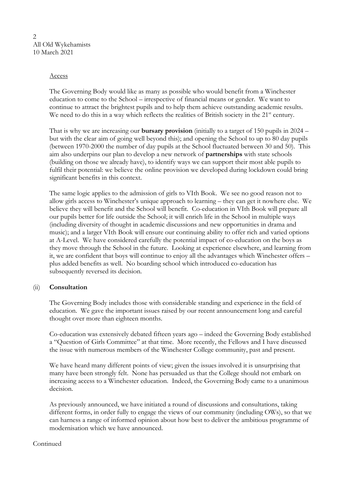2 All Old Wykehamists 10 March 2021

## Access

The Governing Body would like as many as possible who would benefit from a Winchester education to come to the School – irrespective of financial means or gender. We want to continue to attract the brightest pupils and to help them achieve outstanding academic results. We need to do this in a way which reflects the realities of British society in the 21<sup>st</sup> century.

That is why we are increasing our **bursary provision** (initially to a target of 150 pupils in 2024 – but with the clear aim of going well beyond this); and opening the School to up to 80 day pupils (between 1970-2000 the number of day pupils at the School fluctuated between 30 and 50). This aim also underpins our plan to develop a new network of **partnerships** with state schools (building on those we already have), to identify ways we can support their most able pupils to fulfil their potential: we believe the online provision we developed during lockdown could bring significant benefits in this context.

The same logic applies to the admission of girls to VIth Book. We see no good reason not to allow girls access to Winchester's unique approach to learning – they can get it nowhere else. We believe they will benefit and the School will benefit. Co-education in VIth Book will prepare all our pupils better for life outside the School; it will enrich life in the School in multiple ways (including diversity of thought in academic discussions and new opportunities in drama and music); and a larger VIth Book will ensure our continuing ability to offer rich and varied options at A-Level. We have considered carefully the potential impact of co-education on the boys as they move through the School in the future. Looking at experience elsewhere, and learning from it, we are confident that boys will continue to enjoy all the advantages which Winchester offers – plus added benefits as well. No boarding school which introduced co-education has subsequently reversed its decision.

# (ii) **Consultation**

The Governing Body includes those with considerable standing and experience in the field of education. We gave the important issues raised by our recent announcement long and careful thought over more than eighteen months.

Co-education was extensively debated fifteen years ago – indeed the Governing Body established a "Question of Girls Committee" at that time. More recently, the Fellows and I have discussed the issue with numerous members of the Winchester College community, past and present.

We have heard many different points of view; given the issues involved it is unsurprising that many have been strongly felt. None has persuaded us that the College should not embark on increasing access to a Winchester education. Indeed, the Governing Body came to a unanimous decision.

As previously announced, we have initiated a round of discussions and consultations, taking different forms, in order fully to engage the views of our community (including OWs), so that we can harness a range of informed opinion about how best to deliver the ambitious programme of modernisation which we have announced.

### Continued